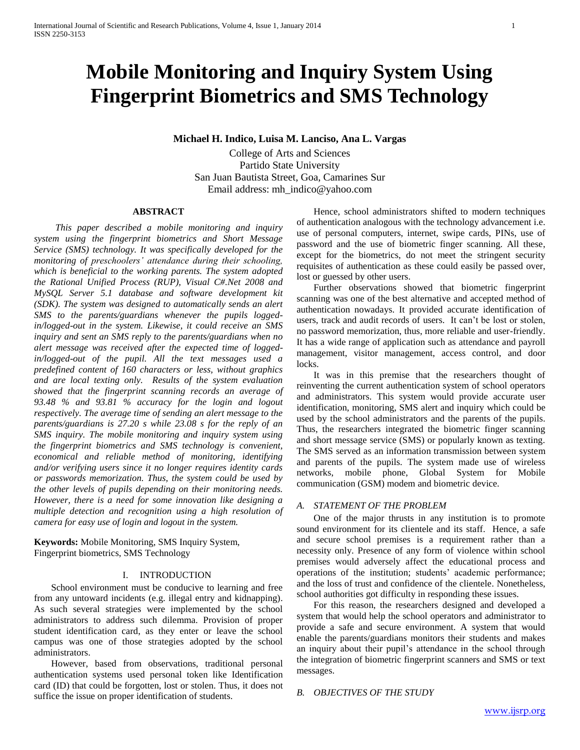# **Mobile Monitoring and Inquiry System Using Fingerprint Biometrics and SMS Technology**

**Michael H. Indico, Luisa M. Lanciso, Ana L. Vargas**

College of Arts and Sciences Partido State University San Juan Bautista Street, Goa, Camarines Sur Email address: [mh\\_indico@yahoo.com](mailto:mh_indico@yahoo.com)

#### **ABSTRACT**

*This paper described a mobile monitoring and inquiry system using the fingerprint biometrics and Short Message Service (SMS) technology. It was specifically developed for the monitoring of preschoolers' attendance during their schooling, which is beneficial to the working parents. The system adopted the Rational Unified Process (RUP), Visual C#.Net 2008 and MySQL Server 5.1 database and software development kit (SDK). The system was designed to automatically sends an alert SMS to the parents/guardians whenever the pupils loggedin/logged-out in the system. Likewise, it could receive an SMS inquiry and sent an SMS reply to the parents/guardians when no alert message was received after the expected time of loggedin/logged-out of the pupil. All the text messages used a predefined content of 160 characters or less, without graphics and are local texting only. Results of the system evaluation showed that the fingerprint scanning records an average of 93.48 % and 93.81 % accuracy for the login and logout respectively. The average time of sending an alert message to the parents/guardians is 27.20 s while 23.08 s for the reply of an SMS inquiry. The mobile monitoring and inquiry system using the fingerprint biometrics and SMS technology is convenient, economical and reliable method of monitoring, identifying and/or verifying users since it no longer requires identity cards or passwords memorization. Thus, the system could be used by the other levels of pupils depending on their monitoring needs. However, there is a need for some innovation like designing a multiple detection and recognition using a high resolution of camera for easy use of login and logout in the system.*

**Keywords:** Mobile Monitoring, SMS Inquiry System, Fingerprint biometrics, SMS Technology

#### I. INTRODUCTION

School environment must be conducive to learning and free from any untoward incidents (e.g. illegal entry and kidnapping). As such several strategies were implemented by the school administrators to address such dilemma. Provision of proper student identification card, as they enter or leave the school campus was one of those strategies adopted by the school administrators.

However, based from observations, traditional personal authentication systems used personal token like Identification card (ID) that could be forgotten, lost or stolen. Thus, it does not suffice the issue on proper identification of students.

Hence, school administrators shifted to modern techniques of authentication analogous with the technology advancement i.e. use of personal computers, internet, swipe cards, PINs, use of password and the use of biometric finger scanning. All these, except for the biometrics, do not meet the stringent security requisites of authentication as these could easily be passed over, lost or guessed by other users.

Further observations showed that biometric fingerprint scanning was one of the best alternative and accepted method of authentication nowadays. It provided accurate identification of users, track and audit records of users. It can't be lost or stolen, no password memorization, thus, more reliable and user-friendly. It has a wide range of application such as attendance and payroll management, visitor management, access control, and door locks.

It was in this premise that the researchers thought of reinventing the current authentication system of school operators and administrators. This system would provide accurate user identification, monitoring, SMS alert and inquiry which could be used by the school administrators and the parents of the pupils. Thus, the researchers integrated the biometric finger scanning and short message service (SMS) or popularly known as texting. The SMS served as an information transmission between system and parents of the pupils. The system made use of wireless networks, mobile phone, Global System for Mobile communication (GSM) modem and biometric device.

# *A. STATEMENT OF THE PROBLEM*

One of the major thrusts in any institution is to promote sound environment for its clientele and its staff. Hence, a safe and secure school premises is a requirement rather than a necessity only. Presence of any form of violence within school premises would adversely affect the educational process and operations of the institution; students' academic performance; and the loss of trust and confidence of the clientele. Nonetheless, school authorities got difficulty in responding these issues.

For this reason, the researchers designed and developed a system that would help the school operators and administrator to provide a safe and secure environment. A system that would enable the parents/guardians monitors their students and makes an inquiry about their pupil's attendance in the school through the integration of biometric fingerprint scanners and SMS or text messages.

#### *B. OBJECTIVES OF THE STUDY*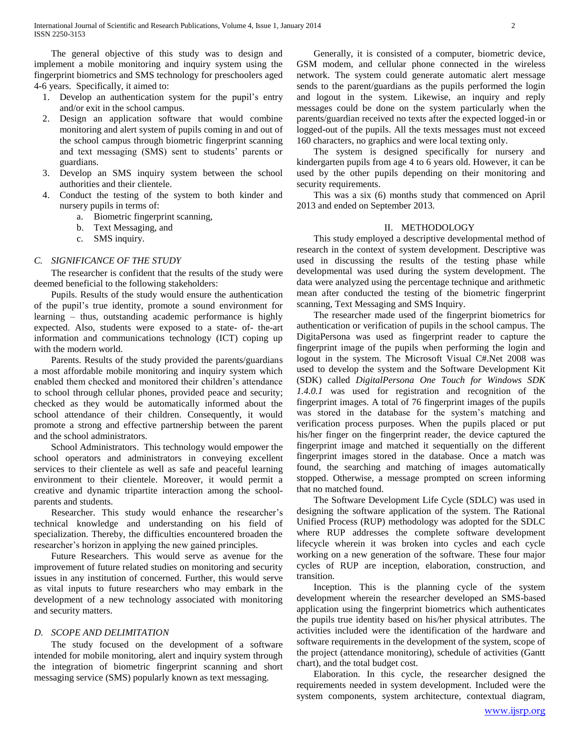The general objective of this study was to design and implement a mobile monitoring and inquiry system using the fingerprint biometrics and SMS technology for preschoolers aged 4-6 years. Specifically, it aimed to:

- 1. Develop an authentication system for the pupil's entry and/or exit in the school campus.
- 2. Design an application software that would combine monitoring and alert system of pupils coming in and out of the school campus through biometric fingerprint scanning and text messaging (SMS) sent to students' parents or guardians.
- 3. Develop an SMS inquiry system between the school authorities and their clientele.
- 4. Conduct the testing of the system to both kinder and nursery pupils in terms of:
	- a. Biometric fingerprint scanning,
	- b. Text Messaging, and
	- c. SMS inquiry.

# *C. SIGNIFICANCE OF THE STUDY*

The researcher is confident that the results of the study were deemed beneficial to the following stakeholders:

Pupils. Results of the study would ensure the authentication of the pupil's true identity, promote a sound environment for learning – thus, outstanding academic performance is highly expected. Also, students were exposed to a state- of- the-art information and communications technology (ICT) coping up with the modern world.

Parents. Results of the study provided the parents/guardians a most affordable mobile monitoring and inquiry system which enabled them checked and monitored their children's attendance to school through cellular phones, provided peace and security; checked as they would be automatically informed about the school attendance of their children. Consequently, it would promote a strong and effective partnership between the parent and the school administrators.

School Administrators. This technology would empower the school operators and administrators in conveying excellent services to their clientele as well as safe and peaceful learning environment to their clientele. Moreover, it would permit a creative and dynamic tripartite interaction among the schoolparents and students.

Researcher. This study would enhance the researcher's technical knowledge and understanding on his field of specialization. Thereby, the difficulties encountered broaden the researcher's horizon in applying the new gained principles.

Future Researchers. This would serve as avenue for the improvement of future related studies on monitoring and security issues in any institution of concerned. Further, this would serve as vital inputs to future researchers who may embark in the development of a new technology associated with monitoring and security matters.

#### *D. SCOPE AND DELIMITATION*

The study focused on the development of a software intended for mobile monitoring, alert and inquiry system through the integration of biometric fingerprint scanning and short messaging service (SMS) popularly known as text messaging.

Generally, it is consisted of a computer, biometric device, GSM modem, and cellular phone connected in the wireless network. The system could generate automatic alert message sends to the parent/guardians as the pupils performed the login and logout in the system. Likewise, an inquiry and reply messages could be done on the system particularly when the parents/guardian received no texts after the expected logged-in or logged-out of the pupils. All the texts messages must not exceed 160 characters, no graphics and were local texting only.

The system is designed specifically for nursery and kindergarten pupils from age 4 to 6 years old. However, it can be used by the other pupils depending on their monitoring and security requirements.

This was a six (6) months study that commenced on April 2013 and ended on September 2013.

#### II. METHODOLOGY

This study employed a descriptive developmental method of research in the context of system development. Descriptive was used in discussing the results of the testing phase while developmental was used during the system development. The data were analyzed using the percentage technique and arithmetic mean after conducted the testing of the biometric fingerprint scanning, Text Messaging and SMS Inquiry.

The researcher made used of the fingerprint biometrics for authentication or verification of pupils in the school campus. The DigitaPersona was used as fingerprint reader to capture the fingerprint image of the pupils when performing the login and logout in the system. The Microsoft Visual C#.Net 2008 was used to develop the system and the Software Development Kit (SDK) called *DigitalPersona One Touch for Windows SDK 1.4.0.1* was used for registration and recognition of the fingerprint images. A total of 76 fingerprint images of the pupils was stored in the database for the system's matching and verification process purposes. When the pupils placed or put his/her finger on the fingerprint reader, the device captured the fingerprint image and matched it sequentially on the different fingerprint images stored in the database. Once a match was found, the searching and matching of images automatically stopped. Otherwise, a message prompted on screen informing that no matched found.

The Software Development Life Cycle (SDLC) was used in designing the software application of the system. The Rational Unified Process (RUP) methodology was adopted for the SDLC where RUP addresses the complete software development lifecycle wherein it was broken into cycles and each cycle working on a new generation of the software. These four major cycles of RUP are inception, elaboration, construction, and transition.

Inception. This is the planning cycle of the system development wherein the researcher developed an SMS-based application using the fingerprint biometrics which authenticates the pupils true identity based on his/her physical attributes. The activities included were the identification of the hardware and software requirements in the development of the system, scope of the project (attendance monitoring), schedule of activities (Gantt chart), and the total budget cost.

Elaboration. In this cycle, the researcher designed the requirements needed in system development. Included were the system components, system architecture, contextual diagram,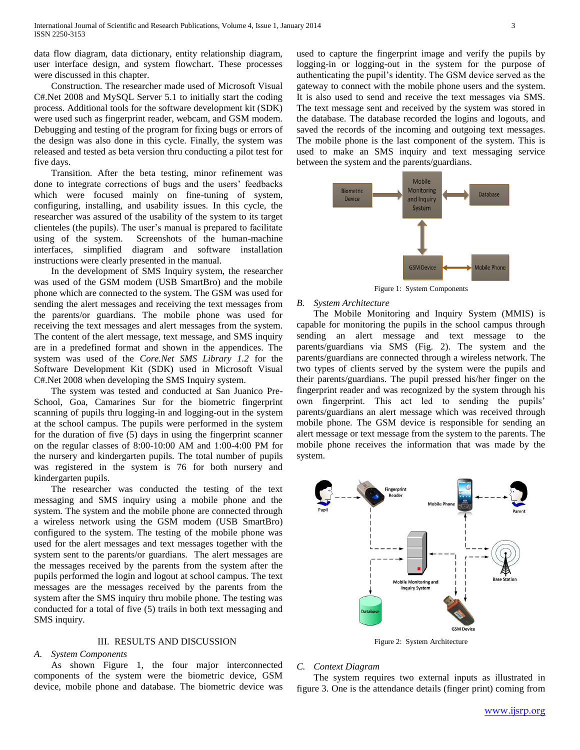data flow diagram, data dictionary, entity relationship diagram, user interface design, and system flowchart. These processes were discussed in this chapter.

Construction. The researcher made used of Microsoft Visual C#.Net 2008 and MySQL Server 5.1 to initially start the coding process. Additional tools for the software development kit (SDK) were used such as fingerprint reader, webcam, and GSM modem. Debugging and testing of the program for fixing bugs or errors of the design was also done in this cycle. Finally, the system was released and tested as beta version thru conducting a pilot test for five days.

Transition. After the beta testing, minor refinement was done to integrate corrections of bugs and the users' feedbacks which were focused mainly on fine-tuning of system, configuring, installing, and usability issues. In this cycle, the researcher was assured of the usability of the system to its target clienteles (the pupils). The user's manual is prepared to facilitate using of the system. Screenshots of the human-machine interfaces, simplified diagram and software installation instructions were clearly presented in the manual.

In the development of SMS Inquiry system, the researcher was used of the GSM modem (USB SmartBro) and the mobile phone which are connected to the system. The GSM was used for sending the alert messages and receiving the text messages from the parents/or guardians. The mobile phone was used for receiving the text messages and alert messages from the system. The content of the alert message, text message, and SMS inquiry are in a predefined format and shown in the appendices. The system was used of the *Core.Net SMS Library 1.2* for the Software Development Kit (SDK) used in Microsoft Visual C#.Net 2008 when developing the SMS Inquiry system.

The system was tested and conducted at San Juanico Pre-School, Goa, Camarines Sur for the biometric fingerprint scanning of pupils thru logging-in and logging-out in the system at the school campus. The pupils were performed in the system for the duration of five (5) days in using the fingerprint scanner on the regular classes of 8:00-10:00 AM and 1:00-4:00 PM for the nursery and kindergarten pupils. The total number of pupils was registered in the system is 76 for both nursery and kindergarten pupils.

The researcher was conducted the testing of the text messaging and SMS inquiry using a mobile phone and the system. The system and the mobile phone are connected through a wireless network using the GSM modem (USB SmartBro) configured to the system. The testing of the mobile phone was used for the alert messages and text messages together with the system sent to the parents/or guardians. The alert messages are the messages received by the parents from the system after the pupils performed the login and logout at school campus. The text messages are the messages received by the parents from the system after the SMS inquiry thru mobile phone. The testing was conducted for a total of five (5) trails in both text messaging and SMS inquiry.

#### III. RESULTS AND DISCUSSION

#### *A. System Components*

As shown Figure 1, the four major interconnected components of the system were the biometric device, GSM device, mobile phone and database. The biometric device was

used to capture the fingerprint image and verify the pupils by logging-in or logging-out in the system for the purpose of authenticating the pupil's identity. The GSM device served as the gateway to connect with the mobile phone users and the system. It is also used to send and receive the text messages via SMS. The text message sent and received by the system was stored in the database. The database recorded the logins and logouts, and saved the records of the incoming and outgoing text messages. The mobile phone is the last component of the system. This is used to make an SMS inquiry and text messaging service between the system and the parents/guardians.



Figure 1: System Components

#### *B. System Architecture*

The Mobile Monitoring and Inquiry System (MMIS) is capable for monitoring the pupils in the school campus through sending an alert message and text message to the parents/guardians via SMS (Fig. 2). The system and the parents/guardians are connected through a wireless network. The two types of clients served by the system were the pupils and their parents/guardians. The pupil pressed his/her finger on the fingerprint reader and was recognized by the system through his own fingerprint. This act led to sending the pupils' parents/guardians an alert message which was received through mobile phone. The GSM device is responsible for sending an alert message or text message from the system to the parents. The mobile phone receives the information that was made by the system.



Figure 2: System Architecture

## *C. Context Diagram*

The system requires two external inputs as illustrated in figure 3. One is the attendance details (finger print) coming from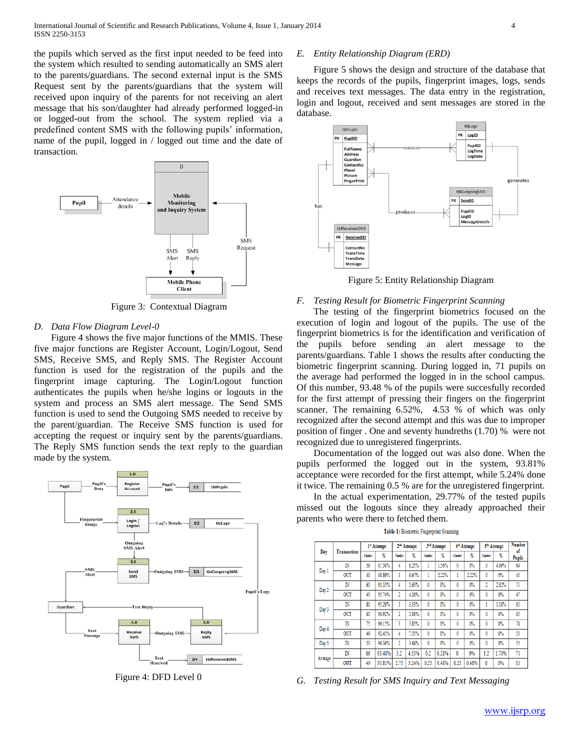the pupils which served as the first input needed to be feed into the system which resulted to sending automatically an SMS alert to the parents/guardians. The second external input is the SMS Request sent by the parents/guardians that the system will received upon inquiry of the parents for not receiving an alert message that his son/daughter had already performed logged-in or logged-out from the school. The system replied via a predefined content SMS with the following pupils' information, name of the pupil, logged in / logged out time and the date of transaction.



Figure 3: Contextual Diagram

### *D. Data Flow Diagram Level-0*

Figure 4 shows the five major functions of the MMIS. These five major functions are Register Account, Login/Logout, Send SMS, Receive SMS, and Reply SMS. The Register Account function is used for the registration of the pupils and the fingerprint image capturing. The Login/Logout function authenticates the pupils when he/she logins or logouts in the system and process an SMS alert message. The Send SMS function is used to send the Outgoing SMS needed to receive by the parent/guardian. The Receive SMS function is used for accepting the request or inquiry sent by the parents/guardians. The Reply SMS function sends the text reply to the guardian made by the system.



Figure 4: DFD Level 0

# *E. Entity Relationship Diagram (ERD)*

Figure 5 shows the design and structure of the database that keeps the records of the pupils, fingerprint images, logs, sends and receives text messages. The data entry in the registration, login and logout, received and sent messages are stored in the database.



Figure 5: Entity Relationship Diagram

#### *F. Testing Result for Biometric Fingerprint Scanning*

The testing of the fingerprint biometrics focused on the execution of login and logout of the pupils. The use of the fingerprint biometrics is for the identification and verification of the pupils before sending an alert message to the parents/guardians. Table 1 shows the results after conducting the biometric fingerprint scanning. During logged in, 71 pupils on the average had performed the logged in in the school campus. Of this number, 93.48 % of the pupils were succesfully recorded for the first attempt of pressing their fingers on the fingerprint scanner. The remaining 6.52%, 4.53 % of which was only recognized after the second attempt and this was due to improper position of finger . One and seventy hundreths (1.70) % were not recognized due to unregistered fingerprints.

Documentation of the logged out was also done. When the pupils performed the logged out in the system, 93.81% acceptance were recorded for the first attempt, while 5.24% done it twice. The remaining 0.5 % are for the unregistered fingerprint.

In the actual experimentation, 29.77% of the tested pupils missed out the logouts since they already approached their parents who were there to fetched them.

| Table 1: Biometric Fingerprint Scanning |
|-----------------------------------------|
|-----------------------------------------|

| Day     | Transaction | 1st Attempt |        | 2 <sup>nd</sup> Attempt |       | 3rd Attempt |       | 4 <sup>th</sup> Attempt |       | 5 <sup>th</sup> Attempt |       | <b>Number</b>       |
|---------|-------------|-------------|--------|-------------------------|-------|-------------|-------|-------------------------|-------|-------------------------|-------|---------------------|
|         |             | Number      | %      | Number                  | %     | Number      | %     | Number                  | %     | Number                  | %     | of<br><b>Pupils</b> |
| Day 1   | IN          | 56          | 87.50% | 4                       | 6.25% |             | 1.56% | 0                       | 0%    | 3                       | 4.69% | 64                  |
|         | OUT         | 40          | 88.89% | 3                       | 6.67% | 1           | 2.22% | 1                       | 2.22% | 0                       | $0\%$ | 45                  |
| Day 2   | IN          | 65          | 91.55% | 4                       | 5.63% | 0           | 0%    | 0                       | 0%    | 2                       | 2.82% | 71                  |
|         | OUT         | 45          | 95.74% | 2                       | 4.26% | 0           | 0%    | 0                       | 0%    | 0                       | $0\%$ | 47                  |
| Day 3   | IN          | 81          | 95.29% | 3                       | 3.53% | 0           | 0%    | 0                       | 0%    |                         | 1.18% | 85                  |
|         | <b>OUT</b>  | 63          | 96.92% | 2                       | 3.08% | 0           | 0%    | 0                       | $0\%$ | 0                       | $0\%$ | 65                  |
| Day 4   | IN          | 75          | 96.15% | 3                       | 3.85% | 0           | 0%    | 0                       | 0%    | 0                       | $0\%$ | 78                  |
|         | <b>OUT</b>  | 49          | 92.45% | 4                       | 7.55% | 0           | 0%    | 0                       | 0%    | 0                       | 0%    | 53                  |
| Day 5   | IN          | 53          | 96.36% | 2                       | 3.64% | 0           | 0%    | 0                       | 0%    | 0                       | $0\%$ | 55                  |
| Average | IN          | 66          | 93.48% | 3.2                     | 4.53% | 0.2         | 0.28% | 0                       | 0%    | 1.2                     | 1.70% | 71                  |
|         | OUT         | 49          | 93.81% | 2.75                    | 5.24% | 0.25        | 0.48% | 0.25                    | 0.48% | 0                       | 0%    | 53                  |

*G. Testing Result for SMS Inquiry and Text Messaging*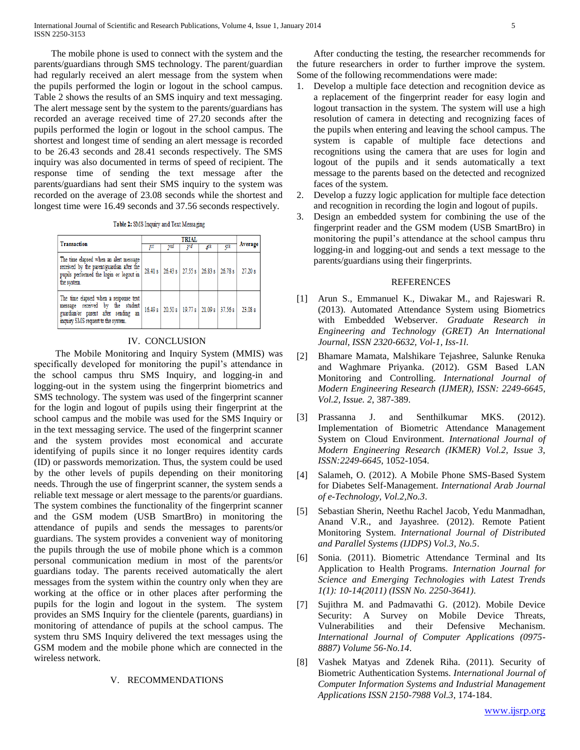The mobile phone is used to connect with the system and the parents/guardians through SMS technology. The parent/guardian had regularly received an alert message from the system when the pupils performed the login or logout in the school campus. Table 2 shows the results of an SMS inquiry and text messaging. The alert message sent by the system to the parents/guardians has recorded an average received time of 27.20 seconds after the pupils performed the login or logout in the school campus. The shortest and longest time of sending an alert message is recorded to be 26.43 seconds and 28.41 seconds respectively. The SMS inquiry was also documented in terms of speed of recipient. The response time of sending the text message after the parents/guardians had sent their SMS inquiry to the system was recorded on the average of 23.08 seconds while the shortest and longest time were 16.49 seconds and 37.56 seconds respectively.

Table 2: SMS Inquiry and Text Messaging

| Transaction                                                                                                                                           |     | Average |                                                 |     |    |         |  |
|-------------------------------------------------------------------------------------------------------------------------------------------------------|-----|---------|-------------------------------------------------|-----|----|---------|--|
|                                                                                                                                                       | ТSt | ond     | ąrd                                             | 4th | КŴ |         |  |
| The time elapsed when an alert message<br>received by the parent/guardian after the<br>pupils performed the login or logout in<br>the system.         |     |         | 28.41 s   26.43 s   27.55 s   26.83 s   26.78 s |     |    | 27.20 s |  |
| The time elapsed when a response text<br>message received by the student<br>guardian/or parent after sending an<br>inquiry SMS request to the system. |     |         | 16.49 s 20.50 s 19.77 s 21.09 s 37.56 s         |     |    | 23.08 s |  |

## IV. CONCLUSION

The Mobile Monitoring and Inquiry System (MMIS) was specifically developed for monitoring the pupil's attendance in the school campus thru SMS Inquiry, and logging-in and logging-out in the system using the fingerprint biometrics and SMS technology. The system was used of the fingerprint scanner for the login and logout of pupils using their fingerprint at the school campus and the mobile was used for the SMS Inquiry or in the text messaging service. The used of the fingerprint scanner and the system provides most economical and accurate identifying of pupils since it no longer requires identity cards (ID) or passwords memorization. Thus, the system could be used by the other levels of pupils depending on their monitoring needs. Through the use of fingerprint scanner, the system sends a reliable text message or alert message to the parents/or guardians. The system combines the functionality of the fingerprint scanner and the GSM modem (USB SmartBro) in monitoring the attendance of pupils and sends the messages to parents/or guardians. The system provides a convenient way of monitoring the pupils through the use of mobile phone which is a common personal communication medium in most of the parents/or guardians today. The parents received automatically the alert messages from the system within the country only when they are working at the office or in other places after performing the pupils for the login and logout in the system. The system provides an SMS Inquiry for the clientele (parents, guardians) in monitoring of attendance of pupils at the school campus. The system thru SMS Inquiry delivered the text messages using the GSM modem and the mobile phone which are connected in the wireless network.

## V. RECOMMENDATIONS

After conducting the testing, the researcher recommends for the future researchers in order to further improve the system. Some of the following recommendations were made:

- 1. Develop a multiple face detection and recognition device as a replacement of the fingerprint reader for easy login and logout transaction in the system. The system will use a high resolution of camera in detecting and recognizing faces of the pupils when entering and leaving the school campus. The system is capable of multiple face detections and recognitions using the camera that are uses for login and logout of the pupils and it sends automatically a text message to the parents based on the detected and recognized faces of the system.
- 2. Develop a fuzzy logic application for multiple face detection and recognition in recording the login and logout of pupils.
- 3. Design an embedded system for combining the use of the fingerprint reader and the GSM modem (USB SmartBro) in monitoring the pupil's attendance at the school campus thru logging-in and logging-out and sends a text message to the parents/guardians using their fingerprints.

#### REFERENCES

- [1] Arun S., Emmanuel K., Diwakar M., and Rajeswari R. (2013). Automated Attendance System using Biometrics with Embedded Webserver. *Graduate Research in Engineering and Technology (GRET) An International Journal, ISSN 2320-6632, Vol-1, Iss-1l*.
- [2] Bhamare Mamata, Malshikare Tejashree, Salunke Renuka and Waghmare Priyanka. (2012). GSM Based LAN Monitoring and Controlling. *International Journal of Modern Engineering Research (IJMER), ISSN: 2249-6645, Vol.2, Issue. 2*, 387-389.
- [3] Prassanna J. and Senthilkumar MKS. (2012). Implementation of Biometric Attendance Management System on Cloud Environment. *International Journal of Modern Engineering Research (IKMER) Vol.2, Issue 3, ISSN:2249-6645*, 1052-1054.
- [4] Salameh, O. (2012). A Mobile Phone SMS-Based System for Diabetes Self-Management. *International Arab Journal of e-Technology, Vol.2,No.3*.
- [5] Sebastian Sherin, Neethu Rachel Jacob, Yedu Manmadhan, Anand V.R., and Jayashree. (2012). Remote Patient Monitoring System. *International Journal of Distributed and Parallel Systems (IJDPS) Vol.3, No.5*.
- [6] Sonia. (2011). Biometric Attendance Terminal and Its Application to Health Programs. *Internation Journal for Science and Emerging Technologies with Latest Trends 1(1): 10-14(2011) (ISSN No. 2250-3641)*.
- [7] Sujithra M. and Padmavathi G. (2012). Mobile Device Security: A Survey on Mobile Device Threats, Vulnerabilities and their Defensive Mechanism. *International Journal of Computer Applications (0975- 8887) Volume 56-No.14*.
- [8] Vashek Matyas and Zdenek Riha. (2011). Security of Biometric Authentication Systems. *International Journal of Computer Information Systems and Industrial Management Applications ISSN 2150-7988 Vol.3*, 174-184.